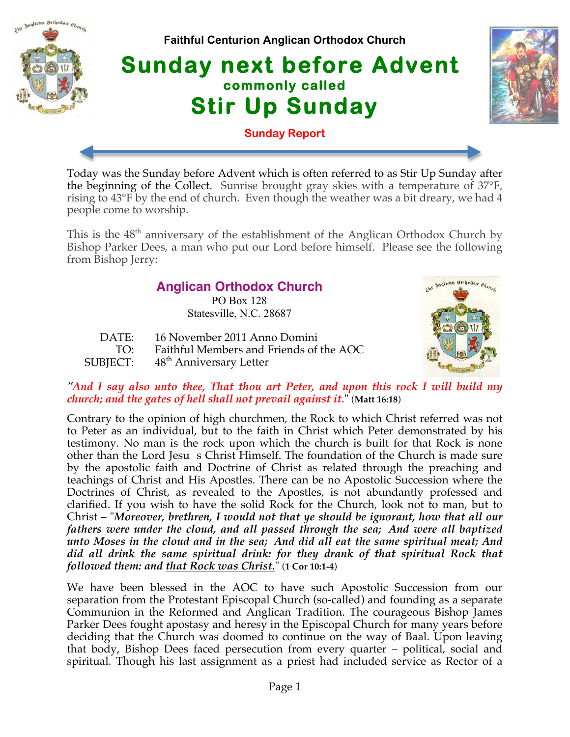

Today was the Sunday before Advent which is often referred to as Stir Up Sunday after the beginning of the Collect. Sunrise brought gray skies with a temperature of 37°F, rising to 43°F by the end of church. Even though the weather was a bit dreary, we had 4 people come to worship.

This is the  $48<sup>th</sup>$  anniversary of the establishment of the Anglican Orthodox Church by Bishop Parker Dees, a man who put our Lord before himself. Please see the following from Bishop Jerry:

# **Anglican Orthodox Church**

PO Box 128 Statesville, N.C. 28687

| DATE: | 16 November 2011 Anno Domini                 |
|-------|----------------------------------------------|
| TO·   | Faithful Members and Friends of the AOC      |
|       | SUBJECT: 48 <sup>th</sup> Anniversary Letter |



### *"And I say also unto thee, That thou art Peter, and upon this rock I will build my church; and the gates of hell shall not prevail against it*." (**Matt 16:18**)

Contrary to the opinion of high churchmen, the Rock to which Christ referred was not to Peter as an individual, but to the faith in Christ which Peter demonstrated by his testimony. No man is the rock upon which the church is built for that Rock is none other than the Lord Jesu s Christ Himself. The foundation of the Church is made sure by the apostolic faith and Doctrine of Christ as related through the preaching and teachings of Christ and His Apostles. There can be no Apostolic Succession where the Doctrines of Christ, as revealed to the Apostles, is not abundantly professed and clarified. If you wish to have the solid Rock for the Church, look not to man, but to Christ – "*Moreover, brethren, I would not that ye should be ignorant, how that all our fathers were under the cloud, and all passed through the sea; And were all baptized unto Moses in the cloud and in the sea; And did all eat the same spiritual meat; And*  did all drink the same spiritual drink: for they drank of that spiritual Rock that *followed them: and that Rock was Christ.*" (**1 Cor 10:1-4**)

We have been blessed in the AOC to have such Apostolic Succession from our separation from the Protestant Episcopal Church (so-called) and founding as a separate Communion in the Reformed and Anglican Tradition. The courageous Bishop James Parker Dees fought apostasy and heresy in the Episcopal Church for many years before deciding that the Church was doomed to continue on the way of Baal. Upon leaving that body, Bishop Dees faced persecution from every quarter – political, social and spiritual. Though his last assignment as a priest had included service as Rector of a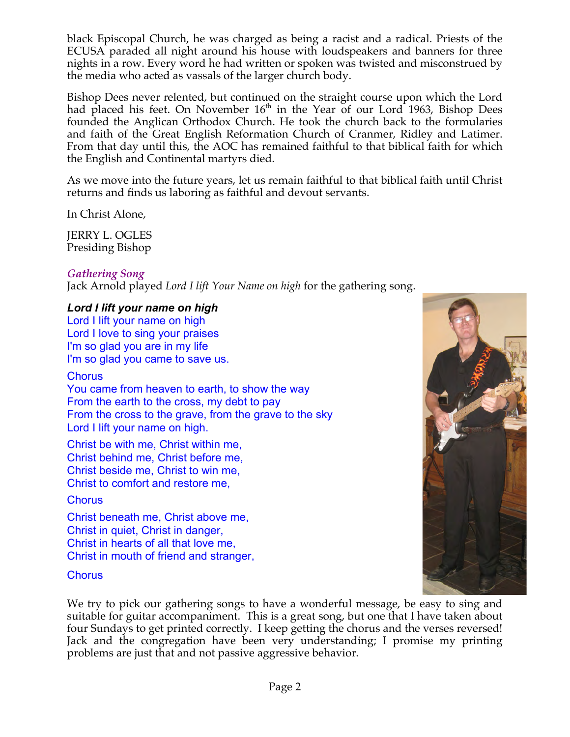black Episcopal Church, he was charged as being a racist and a radical. Priests of the ECUSA paraded all night around his house with loudspeakers and banners for three nights in a row. Every word he had written or spoken was twisted and misconstrued by the media who acted as vassals of the larger church body.

Bishop Dees never relented, but continued on the straight course upon which the Lord had placed his feet. On November  $16<sup>th</sup>$  in the Year of our Lord 1963, Bishop Dees founded the Anglican Orthodox Church. He took the church back to the formularies and faith of the Great English Reformation Church of Cranmer, Ridley and Latimer. From that day until this, the AOC has remained faithful to that biblical faith for which the English and Continental martyrs died.

As we move into the future years, let us remain faithful to that biblical faith until Christ returns and finds us laboring as faithful and devout servants.

In Christ Alone,

JERRY L. OGLES Presiding Bishop

# *Gathering Song*

Jack Arnold played *Lord I lift Your Name on high* for the gathering song.

# *Lord I lift your name on high*

Lord I lift your name on high Lord I love to sing your praises I'm so glad you are in my life I'm so glad you came to save us.

# **Chorus**

You came from heaven to earth, to show the way From the earth to the cross, my debt to pay From the cross to the grave, from the grave to the sky Lord I lift your name on high.

Christ be with me, Christ within me, Christ behind me, Christ before me, Christ beside me, Christ to win me, Christ to comfort and restore me,

# **Chorus**

Christ beneath me, Christ above me, Christ in quiet, Christ in danger, Christ in hearts of all that love me, Christ in mouth of friend and stranger,

# **Chorus**

We try to pick our gathering songs to have a wonderful message, be easy to sing and suitable for guitar accompaniment. This is a great song, but one that I have taken about four Sundays to get printed correctly. I keep getting the chorus and the verses reversed! Jack and the congregation have been very understanding; I promise my printing problems are just that and not passive aggressive behavior.

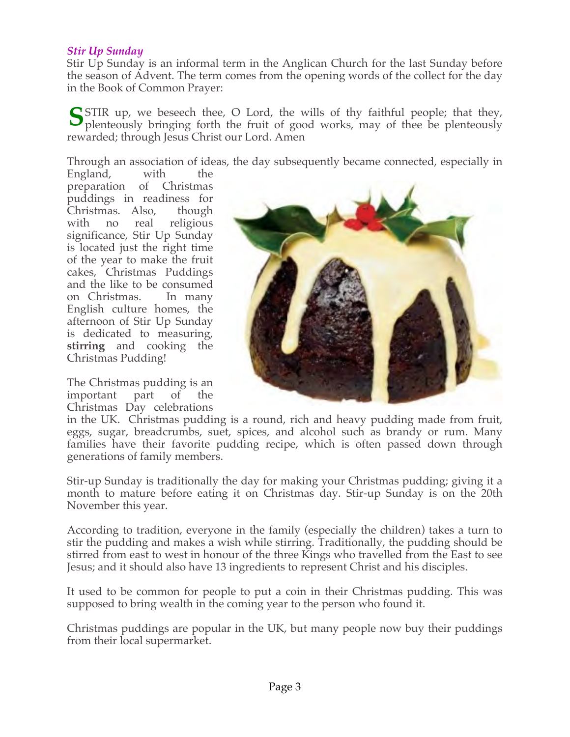### *Stir Up Sunday*

Stir Up Sunday is an informal term in the Anglican Church for the last Sunday before the season of Advent. The term comes from the opening words of the collect for the day in the Book of Common Prayer:

STIR up, we beseech thee, O Lord, the wills of thy faithful people; that they, plenteously bringing forth the fruit of good works, may of thee be plenteously plenteously bringing forth the fruit of good works, may of thee be plenteously rewarded; through Jesus Christ our Lord. Amen

Through an association of ideas, the day subsequently became connected, especially in

England, with the preparation of Christmas puddings in readiness for Christmas. Also, though with no real religious significance, Stir Up Sunday is located just the right time of the year to make the fruit cakes, Christmas Puddings and the like to be consumed on Christmas. In many English culture homes, the afternoon of Stir Up Sunday is dedicated to measuring, **stirring** and cooking the Christmas Pudding!

The Christmas pudding is an important part of the Christmas Day celebrations



in the UK. Christmas pudding is a round, rich and heavy pudding made from fruit, eggs, sugar, breadcrumbs, suet, spices, and alcohol such as brandy or rum. Many families have their favorite pudding recipe, which is often passed down through generations of family members.

Stir-up Sunday is traditionally the day for making your Christmas pudding; giving it a month to mature before eating it on Christmas day. Stir-up Sunday is on the 20th November this year.

According to tradition, everyone in the family (especially the children) takes a turn to stir the pudding and makes a wish while stirring. Traditionally, the pudding should be stirred from east to west in honour of the three Kings who travelled from the East to see Jesus; and it should also have 13 ingredients to represent Christ and his disciples.

It used to be common for people to put a coin in their Christmas pudding. This was supposed to bring wealth in the coming year to the person who found it.

Christmas puddings are popular in the UK, but many people now buy their puddings from their local supermarket.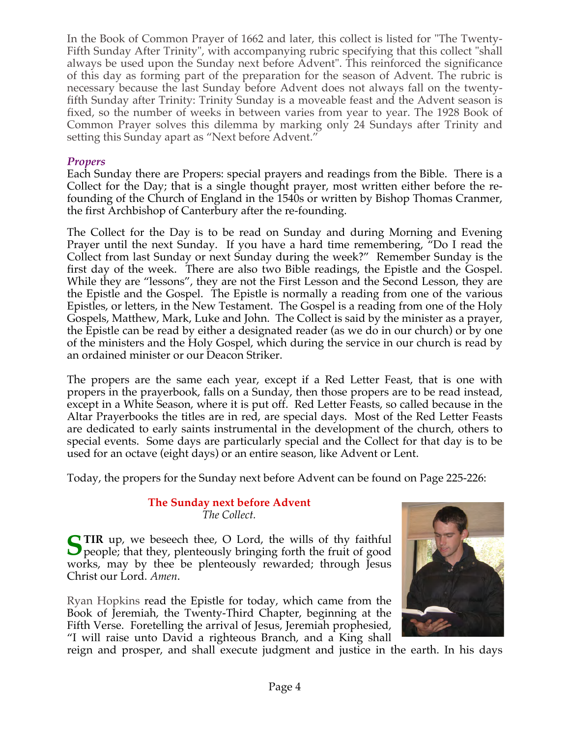In the Book of Common Prayer of 1662 and later, this collect is listed for "The Twenty-Fifth Sunday After Trinity", with accompanying rubric specifying that this collect "shall always be used upon the Sunday next before Advent". This reinforced the significance of this day as forming part of the preparation for the season of Advent. The rubric is necessary because the last Sunday before Advent does not always fall on the twentyfifth Sunday after Trinity: Trinity Sunday is a moveable feast and the Advent season is fixed, so the number of weeks in between varies from year to year. The 1928 Book of Common Prayer solves this dilemma by marking only 24 Sundays after Trinity and setting this Sunday apart as "Next before Advent."

### *Propers*

Each Sunday there are Propers: special prayers and readings from the Bible. There is a Collect for the Day; that is a single thought prayer, most written either before the refounding of the Church of England in the 1540s or written by Bishop Thomas Cranmer, the first Archbishop of Canterbury after the re-founding.

The Collect for the Day is to be read on Sunday and during Morning and Evening Prayer until the next Sunday. If you have a hard time remembering, "Do I read the Collect from last Sunday or next Sunday during the week?" Remember Sunday is the first day of the week. There are also two Bible readings, the Epistle and the Gospel. While they are "lessons", they are not the First Lesson and the Second Lesson, they are the Epistle and the Gospel. The Epistle is normally a reading from one of the various Epistles, or letters, in the New Testament. The Gospel is a reading from one of the Holy Gospels, Matthew, Mark, Luke and John. The Collect is said by the minister as a prayer, the Epistle can be read by either a designated reader (as we do in our church) or by one of the ministers and the Holy Gospel, which during the service in our church is read by an ordained minister or our Deacon Striker.

The propers are the same each year, except if a Red Letter Feast, that is one with propers in the prayerbook, falls on a Sunday, then those propers are to be read instead, except in a White Season, where it is put off. Red Letter Feasts, so called because in the Altar Prayerbooks the titles are in red, are special days. Most of the Red Letter Feasts are dedicated to early saints instrumental in the development of the church, others to special events. Some days are particularly special and the Collect for that day is to be used for an octave (eight days) or an entire season, like Advent or Lent.

Today, the propers for the Sunday next before Advent can be found on Page 225-226:

### **The Sunday next before Advent** *The Collect.*

STIR up, we beseech thee, O Lord, the wills of thy faithful people; that they, plenteously bringing forth the fruit of good  $\Box$  people; that they, plenteously bringing forth the fruit of good works, may by thee be plenteously rewarded; through Jesus Christ our Lord. *Amen*.

Ryan Hopkins read the Epistle for today, which came from the Book of Jeremiah, the Twenty-Third Chapter, beginning at the Fifth Verse. Foretelling the arrival of Jesus, Jeremiah prophesied, "I will raise unto David a righteous Branch, and a King shall



reign and prosper, and shall execute judgment and justice in the earth. In his days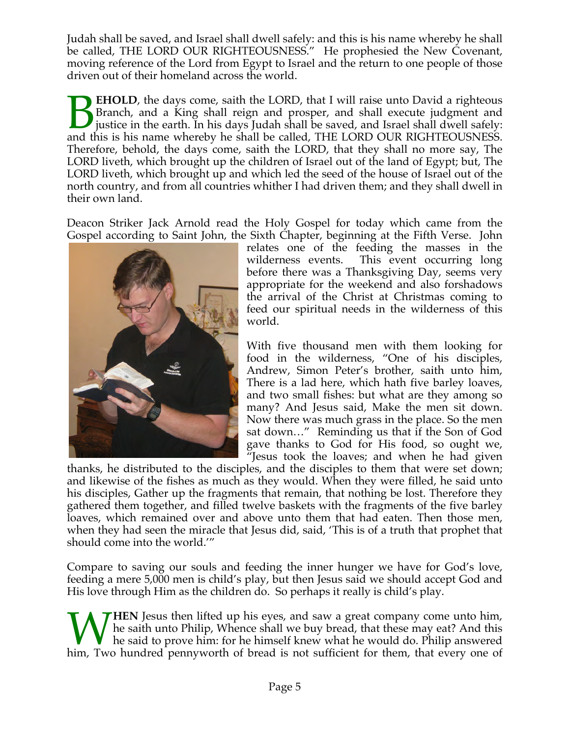Judah shall be saved, and Israel shall dwell safely: and this is his name whereby he shall be called, THE LORD OUR RIGHTEOUSNESS." He prophesied the New Covenant, moving reference of the Lord from Egypt to Israel and the return to one people of those driven out of their homeland across the world.

**EHOLD**, the days come, saith the LORD, that I will raise unto David a righteous Branch, and a King shall reign and prosper, and shall execute judgment and justice in the earth. In his days Judah shall be saved, and Israel shall dwell safely: **Branch**, and a King shall reign and prosper, and shall execute judgment and justice in the earth. In his days Judah shall be saved, and Israel shall dwell safely: and this is his name whereby he shall be called, THE LORD Therefore, behold, the days come, saith the LORD, that they shall no more say, The LORD liveth, which brought up the children of Israel out of the land of Egypt; but, The LORD liveth, which brought up and which led the seed of the house of Israel out of the north country, and from all countries whither I had driven them; and they shall dwell in their own land.

Deacon Striker Jack Arnold read the Holy Gospel for today which came from the Gospel according to Saint John, the Sixth Chapter, beginning at the Fifth Verse. John



relates one of the feeding the masses in the wilderness events. This event occurring long before there was a Thanksgiving Day, seems very appropriate for the weekend and also forshadows the arrival of the Christ at Christmas coming to feed our spiritual needs in the wilderness of this world.

With five thousand men with them looking for food in the wilderness, "One of his disciples, Andrew, Simon Peter's brother, saith unto him, There is a lad here, which hath five barley loaves, and two small fishes: but what are they among so many? And Jesus said, Make the men sit down. Now there was much grass in the place. So the men sat down…" Reminding us that if the Son of God gave thanks to God for His food, so ought we, "Jesus took the loaves; and when he had given

thanks, he distributed to the disciples, and the disciples to them that were set down; and likewise of the fishes as much as they would. When they were filled, he said unto his disciples, Gather up the fragments that remain, that nothing be lost. Therefore they gathered them together, and filled twelve baskets with the fragments of the five barley loaves, which remained over and above unto them that had eaten. Then those men, when they had seen the miracle that Jesus did, said, 'This is of a truth that prophet that should come into the world.'"

Compare to saving our souls and feeding the inner hunger we have for God's love, feeding a mere 5,000 men is child's play, but then Jesus said we should accept God and His love through Him as the children do. So perhaps it really is child's play.

**HEN** Jesus then lifted up his eyes, and saw a great company come unto him, he saith unto Philip, Whence shall we buy bread, that these may eat? And this he said to prove him: for he himself knew what he would do. Philip answered WHEN Jesus then lifted up his eyes, and saw a great company come unto him, he saith unto Philip, Whence shall we buy bread, that these may eat? And this he said to prove him: for he himself knew what he would do. Philip an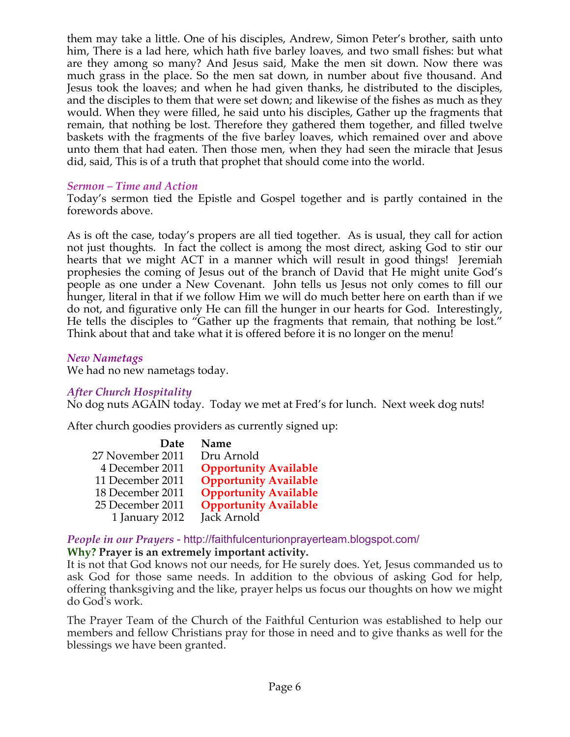them may take a little. One of his disciples, Andrew, Simon Peter's brother, saith unto him, There is a lad here, which hath five barley loaves, and two small fishes: but what are they among so many? And Jesus said, Make the men sit down. Now there was much grass in the place. So the men sat down, in number about five thousand. And Jesus took the loaves; and when he had given thanks, he distributed to the disciples, and the disciples to them that were set down; and likewise of the fishes as much as they would. When they were filled, he said unto his disciples, Gather up the fragments that remain, that nothing be lost. Therefore they gathered them together, and filled twelve baskets with the fragments of the five barley loaves, which remained over and above unto them that had eaten. Then those men, when they had seen the miracle that Jesus did, said, This is of a truth that prophet that should come into the world.

### *Sermon – Time and Action*

Today's sermon tied the Epistle and Gospel together and is partly contained in the forewords above.

As is oft the case, today's propers are all tied together. As is usual, they call for action not just thoughts. In fact the collect is among the most direct, asking God to stir our hearts that we might ACT in a manner which will result in good things! Jeremiah prophesies the coming of Jesus out of the branch of David that He might unite God's people as one under a New Covenant. John tells us Jesus not only comes to fill our hunger, literal in that if we follow Him we will do much better here on earth than if we do not, and figurative only He can fill the hunger in our hearts for God. Interestingly, He tells the disciples to "Gather up the fragments that remain, that nothing be lost." Think about that and take what it is offered before it is no longer on the menu!

*New Nametags*

We had no new nametags today.

# *After Church Hospitality*

No dog nuts AGAIN today. Today we met at Fred's for lunch. Next week dog nuts!

After church goodies providers as currently signed up:

| <b>Date</b>      | Name                         |
|------------------|------------------------------|
| 27 November 2011 | Dru Arnold                   |
| 4 December 2011  | <b>Opportunity Available</b> |
| 11 December 2011 | <b>Opportunity Available</b> |
| 18 December 2011 | <b>Opportunity Available</b> |
| 25 December 2011 | <b>Opportunity Available</b> |
| 1 January 2012   | Jack Arnold                  |

*People in our Prayers* - http://faithfulcenturionprayerteam.blogspot.com/ **Why? Prayer is an extremely important activity.**

It is not that God knows not our needs, for He surely does. Yet, Jesus commanded us to ask God for those same needs. In addition to the obvious of asking God for help, offering thanksgiving and the like, prayer helps us focus our thoughts on how we might do God's work.

The Prayer Team of the Church of the Faithful Centurion was established to help our members and fellow Christians pray for those in need and to give thanks as well for the blessings we have been granted.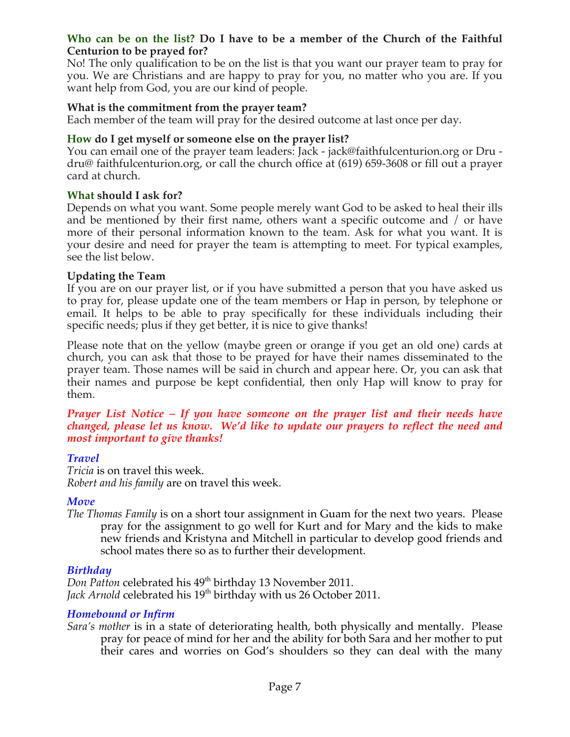### **Who can be on the list? Do I have to be a member of the Church of the Faithful Centurion to be prayed for?**

No! The only qualification to be on the list is that you want our prayer team to pray for you. We are Christians and are happy to pray for you, no matter who you are. If you want help from God, you are our kind of people.

#### **What is the commitment from the prayer team?**

Each member of the team will pray for the desired outcome at last once per day.

#### **How do I get myself or someone else on the prayer list?**

You can email one of the prayer team leaders: Jack - jack@faithfulcenturion.org or Dru dru@ faithfulcenturion.org, or call the church office at (619) 659-3608 or fill out a prayer card at church.

#### **What should I ask for?**

Depends on what you want. Some people merely want God to be asked to heal their ills and be mentioned by their first name, others want a specific outcome and / or have more of their personal information known to the team. Ask for what you want. It is your desire and need for prayer the team is attempting to meet. For typical examples, see the list below.

#### **Updating the Team**

If you are on our prayer list, or if you have submitted a person that you have asked us to pray for, please update one of the team members or Hap in person, by telephone or email. It helps to be able to pray specifically for these individuals including their specific needs; plus if they get better, it is nice to give thanks!

Please note that on the yellow (maybe green or orange if you get an old one) cards at church, you can ask that those to be prayed for have their names disseminated to the prayer team. Those names will be said in church and appear here. Or, you can ask that their names and purpose be kept confidential, then only Hap will know to pray for them.

#### *Prayer List Notice – If you have someone on the prayer list and their needs have changed, please let us know. We'd like to update our prayers to reflect the need and most important to give thanks!*

### *Travel*

*Tricia* is on travel this week. *Robert and his family* are on travel this week.

### *Move*

*The Thomas Family* is on a short tour assignment in Guam for the next two years. Please pray for the assignment to go well for Kurt and for Mary and the kids to make new friends and Kristyna and Mitchell in particular to develop good friends and school mates there so as to further their development.

### *Birthday*

Don Patton celebrated his 49<sup>th</sup> birthday 13 November 2011. Jack Arnold celebrated his 19<sup>th</sup> birthday with us 26 October 2011.

#### *Homebound or Infirm*

*Sara's mother* is in a state of deteriorating health, both physically and mentally. Please pray for peace of mind for her and the ability for both Sara and her mother to put their cares and worries on God's shoulders so they can deal with the many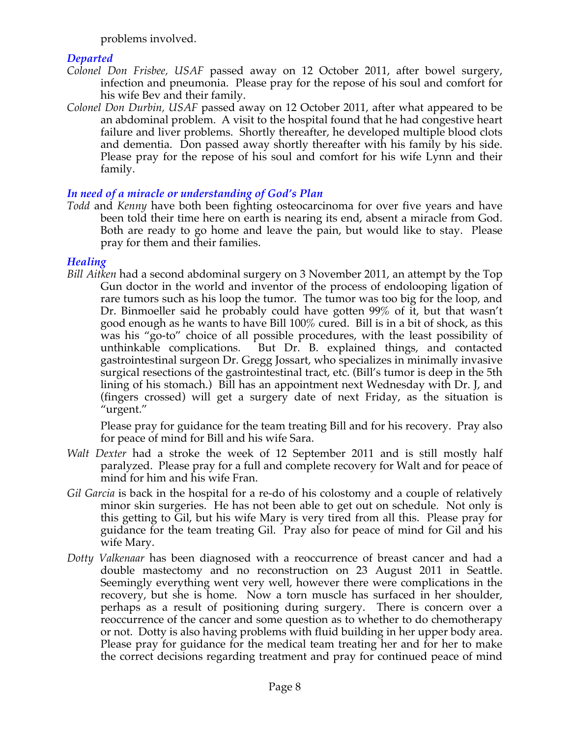problems involved.

### *Departed*

- *Colonel Don Frisbee, USAF* passed away on 12 October 2011, after bowel surgery, infection and pneumonia. Please pray for the repose of his soul and comfort for his wife Bev and their family.
- *Colonel Don Durbin, USAF* passed away on 12 October 2011, after what appeared to be an abdominal problem. A visit to the hospital found that he had congestive heart failure and liver problems. Shortly thereafter, he developed multiple blood clots and dementia. Don passed away shortly thereafter with his family by his side. Please pray for the repose of his soul and comfort for his wife Lynn and their family.

# *In need of a miracle or understanding of God's Plan*

*Todd* and *Kenny* have both been fighting osteocarcinoma for over five years and have been told their time here on earth is nearing its end, absent a miracle from God. Both are ready to go home and leave the pain, but would like to stay. Please pray for them and their families.

#### *Healing*

*Bill Aitken* had a second abdominal surgery on 3 November 2011, an attempt by the Top Gun doctor in the world and inventor of the process of endolooping ligation of rare tumors such as his loop the tumor. The tumor was too big for the loop, and Dr. Binmoeller said he probably could have gotten 99% of it, but that wasn't good enough as he wants to have Bill 100% cured. Bill is in a bit of shock, as this was his "go-to" choice of all possible procedures, with the least possibility of unthinkable complications. But Dr. B. explained things, and contacted gastrointestinal surgeon Dr. Gregg Jossart, who specializes in minimally invasive surgical resections of the gastrointestinal tract, etc. (Bill's tumor is deep in the 5th lining of his stomach.) Bill has an appointment next Wednesday with Dr. J, and (fingers crossed) will get a surgery date of next Friday, as the situation is "urgent."

Please pray for guidance for the team treating Bill and for his recovery. Pray also for peace of mind for Bill and his wife Sara.

- *Walt Dexter* had a stroke the week of 12 September 2011 and is still mostly half paralyzed. Please pray for a full and complete recovery for Walt and for peace of mind for him and his wife Fran.
- *Gil Garcia* is back in the hospital for a re-do of his colostomy and a couple of relatively minor skin surgeries. He has not been able to get out on schedule. Not only is this getting to Gil, but his wife Mary is very tired from all this. Please pray for guidance for the team treating Gil. Pray also for peace of mind for Gil and his wife Mary.
- *Dotty Valkenaar* has been diagnosed with a reoccurrence of breast cancer and had a double mastectomy and no reconstruction on 23 August 2011 in Seattle. Seemingly everything went very well, however there were complications in the recovery, but she is home. Now a torn muscle has surfaced in her shoulder, perhaps as a result of positioning during surgery. There is concern over a reoccurrence of the cancer and some question as to whether to do chemotherapy or not. Dotty is also having problems with fluid building in her upper body area. Please pray for guidance for the medical team treating her and for her to make the correct decisions regarding treatment and pray for continued peace of mind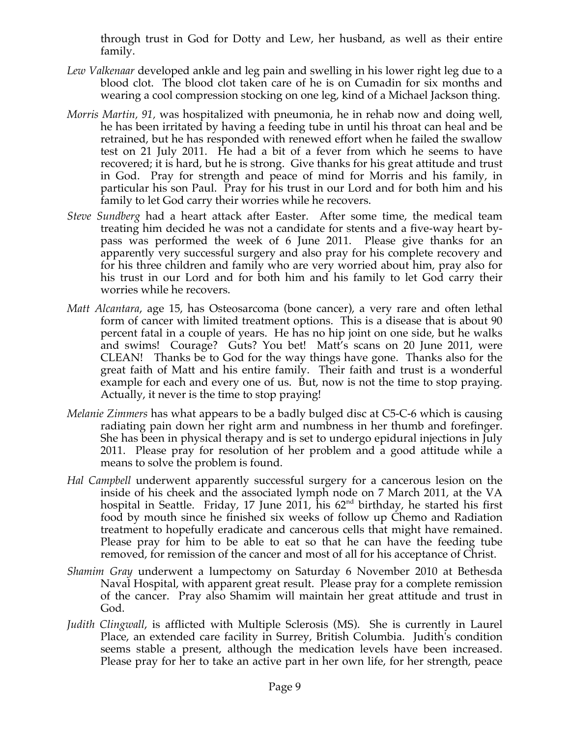through trust in God for Dotty and Lew, her husband, as well as their entire family.

- *Lew Valkenaar* developed ankle and leg pain and swelling in his lower right leg due to a blood clot. The blood clot taken care of he is on Cumadin for six months and wearing a cool compression stocking on one leg, kind of a Michael Jackson thing.
- *Morris Martin, 91,* was hospitalized with pneumonia, he in rehab now and doing well, he has been irritated by having a feeding tube in until his throat can heal and be retrained, but he has responded with renewed effort when he failed the swallow test on 21 July 2011. He had a bit of a fever from which he seems to have recovered; it is hard, but he is strong. Give thanks for his great attitude and trust in God. Pray for strength and peace of mind for Morris and his family, in particular his son Paul. Pray for his trust in our Lord and for both him and his family to let God carry their worries while he recovers.
- *Steve Sundberg* had a heart attack after Easter. After some time, the medical team treating him decided he was not a candidate for stents and a five-way heart bypass was performed the week of 6 June 2011. Please give thanks for an apparently very successful surgery and also pray for his complete recovery and for his three children and family who are very worried about him, pray also for his trust in our Lord and for both him and his family to let God carry their worries while he recovers.
- *Matt Alcantara*, age 15, has Osteosarcoma (bone cancer), a very rare and often lethal form of cancer with limited treatment options. This is a disease that is about 90 percent fatal in a couple of years. He has no hip joint on one side, but he walks and swims! Courage? Guts? You bet! Matt's scans on 20 June 2011, were CLEAN! Thanks be to God for the way things have gone. Thanks also for the great faith of Matt and his entire family. Their faith and trust is a wonderful example for each and every one of us. But, now is not the time to stop praying. Actually, it never is the time to stop praying!
- *Melanie Zimmers* has what appears to be a badly bulged disc at C5-C-6 which is causing radiating pain down her right arm and numbness in her thumb and forefinger. She has been in physical therapy and is set to undergo epidural injections in July 2011. Please pray for resolution of her problem and a good attitude while a means to solve the problem is found.
- *Hal Campbell* underwent apparently successful surgery for a cancerous lesion on the inside of his cheek and the associated lymph node on 7 March 2011, at the VA hospital in Seattle. Friday, 17 June 2011, his  $62<sup>nd</sup>$  birthday, he started his first food by mouth since he finished six weeks of follow up Chemo and Radiation treatment to hopefully eradicate and cancerous cells that might have remained. Please pray for him to be able to eat so that he can have the feeding tube removed, for remission of the cancer and most of all for his acceptance of Christ.
- *Shamim Gray* underwent a lumpectomy on Saturday 6 November 2010 at Bethesda Naval Hospital, with apparent great result. Please pray for a complete remission of the cancer. Pray also Shamim will maintain her great attitude and trust in God.
- *Judith Clingwall*, is afflicted with Multiple Sclerosis (MS). She is currently in Laurel Place, an extended care facility in Surrey, British Columbia. Judith's condition seems stable a present, although the medication levels have been increased. Please pray for her to take an active part in her own life, for her strength, peace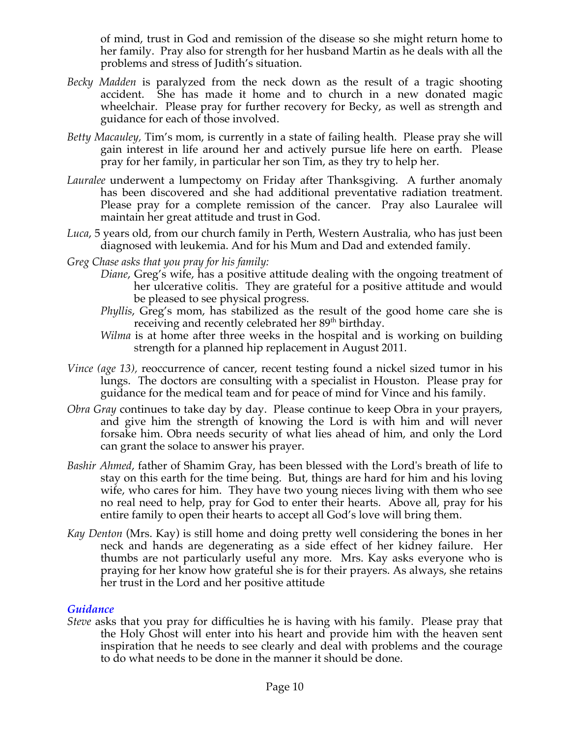of mind, trust in God and remission of the disease so she might return home to her family. Pray also for strength for her husband Martin as he deals with all the problems and stress of Judith's situation.

- *Becky Madden* is paralyzed from the neck down as the result of a tragic shooting accident. She has made it home and to church in a new donated magic wheelchair. Please pray for further recovery for Becky, as well as strength and guidance for each of those involved.
- *Betty Macauley,* Tim's mom, is currently in a state of failing health. Please pray she will gain interest in life around her and actively pursue life here on earth. Please pray for her family, in particular her son Tim, as they try to help her.
- *Lauralee* underwent a lumpectomy on Friday after Thanksgiving. A further anomaly has been discovered and she had additional preventative radiation treatment. Please pray for a complete remission of the cancer. Pray also Lauralee will maintain her great attitude and trust in God.
- *Luca*, 5 years old, from our church family in Perth, Western Australia, who has just been diagnosed with leukemia. And for his Mum and Dad and extended family.

*Greg Chase asks that you pray for his family:*

- *Diane*, Greg's wife, has a positive attitude dealing with the ongoing treatment of her ulcerative colitis. They are grateful for a positive attitude and would be pleased to see physical progress.
- *Phyllis*, Greg's mom, has stabilized as the result of the good home care she is receiving and recently celebrated her 89<sup>th</sup> birthday.
- *Wilma* is at home after three weeks in the hospital and is working on building strength for a planned hip replacement in August 2011.
- *Vince (age 13), reoccurrence of cancer, recent testing found a nickel sized tumor in his* lungs. The doctors are consulting with a specialist in Houston. Please pray for guidance for the medical team and for peace of mind for Vince and his family.
- *Obra Gray* continues to take day by day. Please continue to keep Obra in your prayers, and give him the strength of knowing the Lord is with him and will never forsake him. Obra needs security of what lies ahead of him, and only the Lord can grant the solace to answer his prayer.
- *Bashir Ahmed*, father of Shamim Gray, has been blessed with the Lord's breath of life to stay on this earth for the time being. But, things are hard for him and his loving wife, who cares for him. They have two young nieces living with them who see no real need to help, pray for God to enter their hearts. Above all, pray for his entire family to open their hearts to accept all God's love will bring them.
- *Kay Denton* (Mrs. Kay) is still home and doing pretty well considering the bones in her neck and hands are degenerating as a side effect of her kidney failure. Her thumbs are not particularly useful any more. Mrs. Kay asks everyone who is praying for her know how grateful she is for their prayers. As always, she retains her trust in the Lord and her positive attitude.

# *Guidance*

*Steve* asks that you pray for difficulties he is having with his family. Please pray that the Holy Ghost will enter into his heart and provide him with the heaven sent inspiration that he needs to see clearly and deal with problems and the courage to do what needs to be done in the manner it should be done.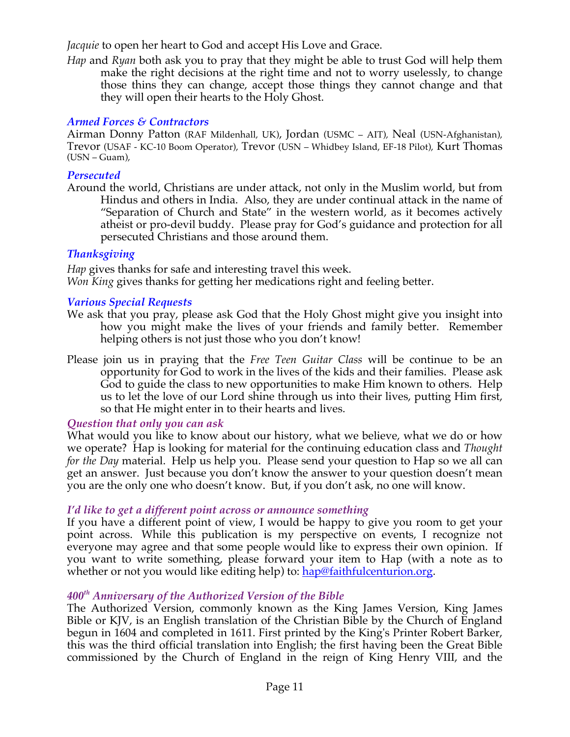*Jacquie* to open her heart to God and accept His Love and Grace.

*Hap* and *Ryan* both ask you to pray that they might be able to trust God will help them make the right decisions at the right time and not to worry uselessly, to change those thins they can change, accept those things they cannot change and that they will open their hearts to the Holy Ghost.

### *Armed Forces & Contractors*

Airman Donny Patton (RAF Mildenhall, UK), Jordan (USMC – AIT), Neal (USN-Afghanistan), Trevor (USAF - KC-10 Boom Operator), Trevor (USN – Whidbey Island, EF-18 Pilot), Kurt Thomas (USN – Guam),

### *Persecuted*

Around the world, Christians are under attack, not only in the Muslim world, but from Hindus and others in India. Also, they are under continual attack in the name of "Separation of Church and State" in the western world, as it becomes actively atheist or pro-devil buddy. Please pray for God's guidance and protection for all persecuted Christians and those around them.

# *Thanksgiving*

*Hap* gives thanks for safe and interesting travel this week. *Won King* gives thanks for getting her medications right and feeling better.

### *Various Special Requests*

- We ask that you pray, please ask God that the Holy Ghost might give you insight into how you might make the lives of your friends and family better. Remember helping others is not just those who you don't know!
- Please join us in praying that the *Free Teen Guitar Class* will be continue to be an opportunity for God to work in the lives of the kids and their families. Please ask God to guide the class to new opportunities to make Him known to others. Help us to let the love of our Lord shine through us into their lives, putting Him first, so that He might enter in to their hearts and lives.

# *Question that only you can ask*

What would you like to know about our history, what we believe, what we do or how we operate? Hap is looking for material for the continuing education class and *Thought for the Day* material. Help us help you. Please send your question to Hap so we all can get an answer. Just because you don't know the answer to your question doesn't mean you are the only one who doesn't know. But, if you don't ask, no one will know.

# *I'd like to get a different point across or announce something*

If you have a different point of view, I would be happy to give you room to get your point across. While this publication is my perspective on events, I recognize not everyone may agree and that some people would like to express their own opinion. If you want to write something, please forward your item to Hap (with a note as to whether or not you would like editing help) to: hap@faithfulcenturion.org.

# *400th Anniversary of the Authorized Version of the Bible*

The Authorized Version, commonly known as the King James Version, King James Bible or KJV, is an English translation of the Christian Bible by the Church of England begun in 1604 and completed in 1611. First printed by the King's Printer Robert Barker, this was the third official translation into English; the first having been the Great Bible commissioned by the Church of England in the reign of King Henry VIII, and the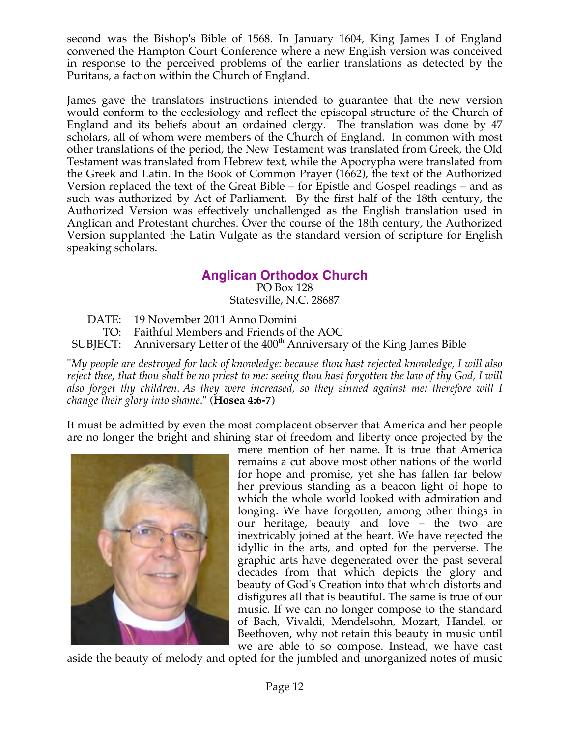second was the Bishop's Bible of 1568. In January 1604, King James I of England convened the Hampton Court Conference where a new English version was conceived in response to the perceived problems of the earlier translations as detected by the Puritans, a faction within the Church of England.

James gave the translators instructions intended to guarantee that the new version would conform to the ecclesiology and reflect the episcopal structure of the Church of England and its beliefs about an ordained clergy. The translation was done by 47 scholars, all of whom were members of the Church of England. In common with most other translations of the period, the New Testament was translated from Greek, the Old Testament was translated from Hebrew text, while the Apocrypha were translated from the Greek and Latin. In the Book of Common Prayer (1662), the text of the Authorized Version replaced the text of the Great Bible – for Epistle and Gospel readings – and as such was authorized by Act of Parliament. By the first half of the 18th century, the Authorized Version was effectively unchallenged as the English translation used in Anglican and Protestant churches. Over the course of the 18th century, the Authorized Version supplanted the Latin Vulgate as the standard version of scripture for English speaking scholars.

# **Anglican Orthodox Church**

PO Box 128 Statesville, N.C. 28687

- DATE: 19 November 2011 Anno Domini
- TO: Faithful Members and Friends of the AOC
- SUBJECT: Anniversary Letter of the  $400<sup>th</sup>$  Anniversary of the King James Bible

"*My people are destroyed for lack of knowledge: because thou hast rejected knowledge, I will also reject thee, that thou shalt be no priest to me: seeing thou hast forgotten the law of thy God, I will also forget thy children. As they were increased, so they sinned against me: therefore will I change their glory into shame*." (**Hosea 4:6-7**)

It must be admitted by even the most complacent observer that America and her people are no longer the bright and shining star of freedom and liberty once projected by the



mere mention of her name. It is true that America remains a cut above most other nations of the world for hope and promise, yet she has fallen far below her previous standing as a beacon light of hope to which the whole world looked with admiration and longing. We have forgotten, among other things in our heritage, beauty and love – the two are inextricably joined at the heart. We have rejected the idyllic in the arts, and opted for the perverse. The graphic arts have degenerated over the past several decades from that which depicts the glory and beauty of God's Creation into that which distorts and disfigures all that is beautiful. The same is true of our music. If we can no longer compose to the standard of Bach, Vivaldi, Mendelsohn, Mozart, Handel, or Beethoven, why not retain this beauty in music until we are able to so compose. Instead, we have cast

aside the beauty of melody and opted for the jumbled and unorganized notes of music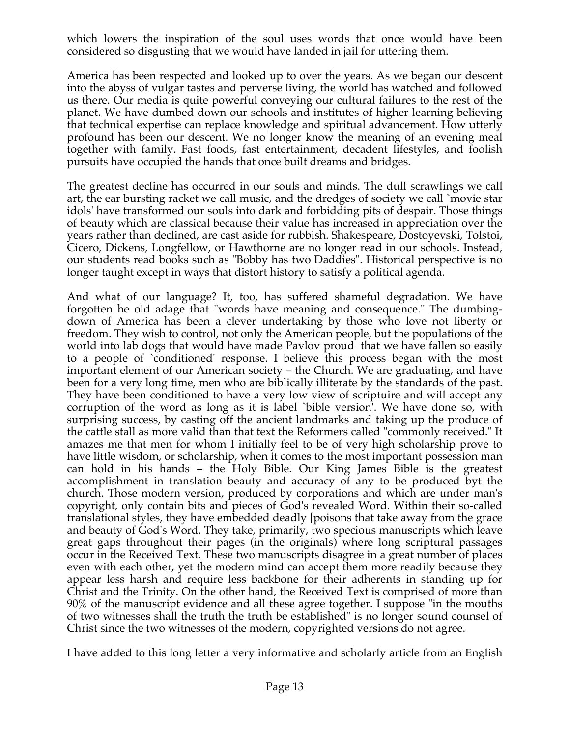which lowers the inspiration of the soul uses words that once would have been considered so disgusting that we would have landed in jail for uttering them.

America has been respected and looked up to over the years. As we began our descent into the abyss of vulgar tastes and perverse living, the world has watched and followed us there. Our media is quite powerful conveying our cultural failures to the rest of the planet. We have dumbed down our schools and institutes of higher learning believing that technical expertise can replace knowledge and spiritual advancement. How utterly profound has been our descent. We no longer know the meaning of an evening meal together with family. Fast foods, fast entertainment, decadent lifestyles, and foolish pursuits have occupied the hands that once built dreams and bridges.

The greatest decline has occurred in our souls and minds. The dull scrawlings we call art, the ear bursting racket we call music, and the dredges of society we call `movie star idols' have transformed our souls into dark and forbidding pits of despair. Those things of beauty which are classical because their value has increased in appreciation over the years rather than declined, are cast aside for rubbish. Shakespeare, Dostoyevski, Tolstoi, Cicero, Dickens, Longfellow, or Hawthorne are no longer read in our schools. Instead, our students read books such as "Bobby has two Daddies". Historical perspective is no longer taught except in ways that distort history to satisfy a political agenda.

And what of our language? It, too, has suffered shameful degradation. We have forgotten he old adage that "words have meaning and consequence." The dumbingdown of America has been a clever undertaking by those who love not liberty or freedom. They wish to control, not only the American people, but the populations of the world into lab dogs that would have made Pavlov proud that we have fallen so easily to a people of `conditioned' response. I believe this process began with the most important element of our American society – the Church. We are graduating, and have been for a very long time, men who are biblically illiterate by the standards of the past. They have been conditioned to have a very low view of scriptuire and will accept any corruption of the word as long as it is label `bible version'. We have done so, with surprising success, by casting off the ancient landmarks and taking up the produce of the cattle stall as more valid than that text the Reformers called "commonly received." It amazes me that men for whom I initially feel to be of very high scholarship prove to have little wisdom, or scholarship, when it comes to the most important possession man can hold in his hands – the Holy Bible. Our King James Bible is the greatest accomplishment in translation beauty and accuracy of any to be produced byt the church. Those modern version, produced by corporations and which are under man's copyright, only contain bits and pieces of God's revealed Word. Within their so-called translational styles, they have embedded deadly [poisons that take away from the grace and beauty of God's Word. They take, primarily, two specious manuscripts which leave great gaps throughout their pages (in the originals) where long scriptural passages occur in the Received Text. These two manuscripts disagree in a great number of places even with each other, yet the modern mind can accept them more readily because they appear less harsh and require less backbone for their adherents in standing up for Christ and the Trinity. On the other hand, the Received Text is comprised of more than 90% of the manuscript evidence and all these agree together. I suppose "in the mouths of two witnesses shall the truth the truth be established" is no longer sound counsel of Christ since the two witnesses of the modern, copyrighted versions do not agree.

I have added to this long letter a very informative and scholarly article from an English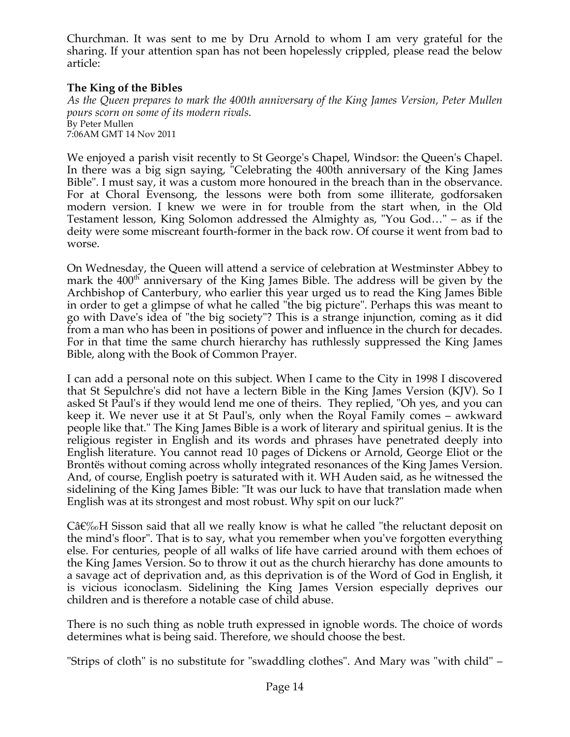Churchman. It was sent to me by Dru Arnold to whom I am very grateful for the sharing. If your attention span has not been hopelessly crippled, please read the below article:

# **The King of the Bibles**

*As the Queen prepares to mark the 400th anniversary of the King James Version, Peter Mullen pours scorn on some of its modern rivals.* By Peter Mullen 7:06AM GMT 14 Nov 2011

We enjoyed a parish visit recently to St George's Chapel, Windsor: the Queen's Chapel. In there was a big sign saying, "Celebrating the 400th anniversary of the King James Bible". I must say, it was a custom more honoured in the breach than in the observance. For at Choral Evensong, the lessons were both from some illiterate, godforsaken modern version. I knew we were in for trouble from the start when, in the Old Testament lesson, King Solomon addressed the Almighty as, "You God…" – as if the deity were some miscreant fourth-former in the back row. Of course it went from bad to worse.

On Wednesday, the Queen will attend a service of celebration at Westminster Abbey to mark the 400<sup>th</sup> anniversary of the King James Bible. The address will be given by the Archbishop of Canterbury, who earlier this year urged us to read the King James Bible in order to get a glimpse of what he called "the big picture". Perhaps this was meant to go with Dave's idea of "the big society"? This is a strange injunction, coming as it did from a man who has been in positions of power and influence in the church for decades. For in that time the same church hierarchy has ruthlessly suppressed the King James Bible, along with the Book of Common Prayer.

I can add a personal note on this subject. When I came to the City in 1998 I discovered that St Sepulchre's did not have a lectern Bible in the King James Version (KJV). So I asked St Paul's if they would lend me one of theirs. They replied, "Oh yes, and you can keep it. We never use it at St Paul's, only when the Royal Family comes – awkward people like that." The King James Bible is a work of literary and spiritual genius. It is the religious register in English and its words and phrases have penetrated deeply into English literature. You cannot read 10 pages of Dickens or Arnold, George Eliot or the Brontës without coming across wholly integrated resonances of the King James Version. And, of course, English poetry is saturated with it. WH Auden said, as he witnessed the sidelining of the King James Bible: "It was our luck to have that translation made when English was at its strongest and most robust. Why spit on our luck?"

 $C\hat{a}\hat{\epsilon}\%$  Sisson said that all we really know is what he called "the reluctant deposit on the mind's floor". That is to say, what you remember when you've forgotten everything else. For centuries, people of all walks of life have carried around with them echoes of the King James Version. So to throw it out as the church hierarchy has done amounts to a savage act of deprivation and, as this deprivation is of the Word of God in English, it is vicious iconoclasm. Sidelining the King James Version especially deprives our children and is therefore a notable case of child abuse.

There is no such thing as noble truth expressed in ignoble words. The choice of words determines what is being said. Therefore, we should choose the best.

"Strips of cloth" is no substitute for "swaddling clothes". And Mary was "with child" –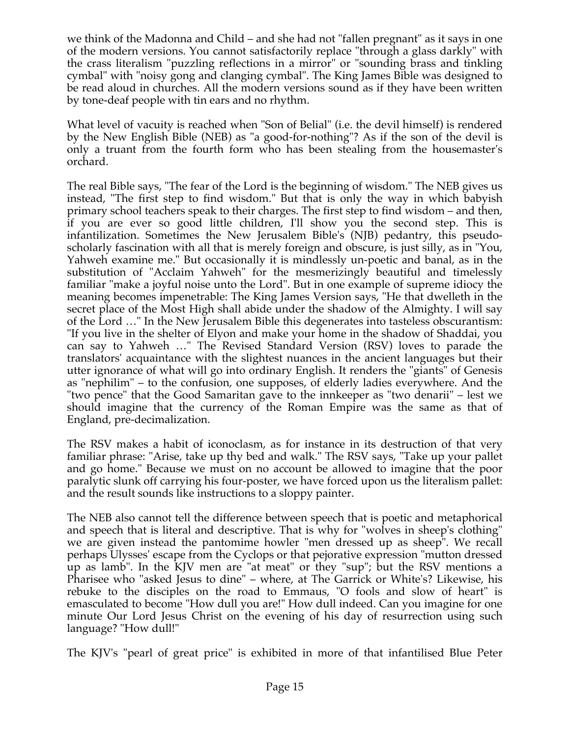we think of the Madonna and Child – and she had not "fallen pregnant" as it says in one of the modern versions. You cannot satisfactorily replace "through a glass darkly" with the crass literalism "puzzling reflections in a mirror" or "sounding brass and tinkling cymbal" with "noisy gong and clanging cymbal". The King James Bible was designed to be read aloud in churches. All the modern versions sound as if they have been written by tone-deaf people with tin ears and no rhythm.

What level of vacuity is reached when "Son of Belial" (i.e. the devil himself) is rendered by the New English Bible (NEB) as "a good-for-nothing"? As if the son of the devil is only a truant from the fourth form who has been stealing from the housemaster's orchard.

The real Bible says, "The fear of the Lord is the beginning of wisdom." The NEB gives us instead, "The first step to find wisdom." But that is only the way in which babyish primary school teachers speak to their charges. The first step to find wisdom – and then, if you are ever so good little children, I'll show you the second step. This is infantilization. Sometimes the New Jerusalem Bible's (NJB) pedantry, this pseudoscholarly fascination with all that is merely foreign and obscure, is just silly, as in "You, Yahweh examine me." But occasionally it is mindlessly un-poetic and banal, as in the substitution of "Acclaim Yahweh" for the mesmerizingly beautiful and timelessly familiar "make a joyful noise unto the Lord". But in one example of supreme idiocy the meaning becomes impenetrable: The King James Version says, "He that dwelleth in the secret place of the Most High shall abide under the shadow of the Almighty. I will say of the Lord …" In the New Jerusalem Bible this degenerates into tasteless obscurantism: "If you live in the shelter of Elyon and make your home in the shadow of Shaddai, you can say to Yahweh …" The Revised Standard Version (RSV) loves to parade the translators' acquaintance with the slightest nuances in the ancient languages but their utter ignorance of what will go into ordinary English. It renders the "giants" of Genesis as "nephilim" – to the confusion, one supposes, of elderly ladies everywhere. And the "two pence" that the Good Samaritan gave to the innkeeper as "two denarii" – lest we should imagine that the currency of the Roman Empire was the same as that of England, pre-decimalization.

The RSV makes a habit of iconoclasm, as for instance in its destruction of that very familiar phrase: "Arise, take up thy bed and walk." The RSV says, "Take up your pallet and go home." Because we must on no account be allowed to imagine that the poor paralytic slunk off carrying his four-poster, we have forced upon us the literalism pallet: and the result sounds like instructions to a sloppy painter.

The NEB also cannot tell the difference between speech that is poetic and metaphorical and speech that is literal and descriptive. That is why for "wolves in sheep's clothing" we are given instead the pantomime howler "men dressed up as sheep". We recall perhaps Ulysses' escape from the Cyclops or that pejorative expression "mutton dressed up as lamb". In the KJV men are "at meat" or they "sup"; but the RSV mentions a Pharisee who "asked Jesus to dine" – where, at The Garrick or White's? Likewise, his rebuke to the disciples on the road to Emmaus, "O fools and slow of heart" is emasculated to become "How dull you are!" How dull indeed. Can you imagine for one minute Our Lord Jesus Christ on the evening of his day of resurrection using such language? "How dull!"

The KJV's "pearl of great price" is exhibited in more of that infantilised Blue Peter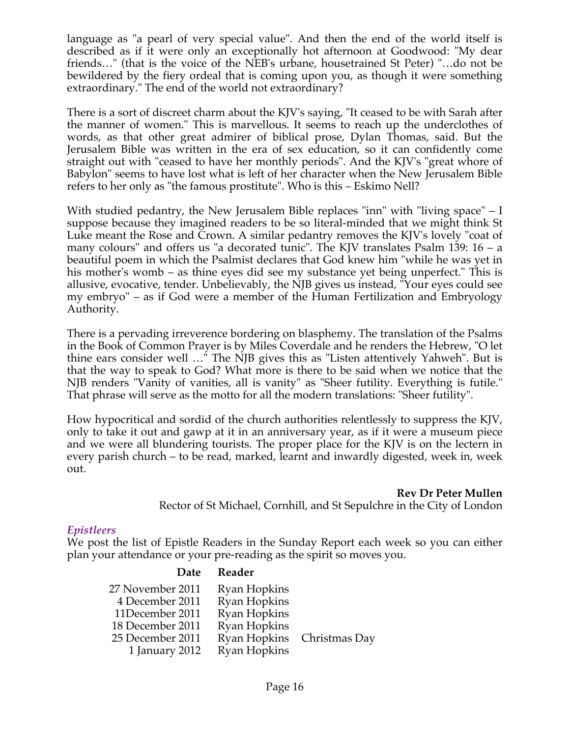language as "a pearl of very special value". And then the end of the world itself is described as if it were only an exceptionally hot afternoon at Goodwood: "My dear friends…" (that is the voice of the NEB's urbane, housetrained St Peter) "…do not be bewildered by the fiery ordeal that is coming upon you, as though it were something extraordinary." The end of the world not extraordinary?

There is a sort of discreet charm about the KJV's saying, "It ceased to be with Sarah after the manner of women." This is marvellous. It seems to reach up the underclothes of words, as that other great admirer of biblical prose, Dylan Thomas, said. But the Jerusalem Bible was written in the era of sex education, so it can confidently come straight out with "ceased to have her monthly periods". And the KJV's "great whore of Babylon" seems to have lost what is left of her character when the New Jerusalem Bible refers to her only as "the famous prostitute". Who is this – Eskimo Nell?

With studied pedantry, the New Jerusalem Bible replaces "inn" with "living space" – I suppose because they imagined readers to be so literal-minded that we might think St Luke meant the Rose and Crown. A similar pedantry removes the KJV's lovely "coat of many colours" and offers us "a decorated tunic". The KJV translates Psalm 139: 16 – a beautiful poem in which the Psalmist declares that God knew him "while he was yet in his mother's womb – as thine eyes did see my substance yet being unperfect." This is allusive, evocative, tender. Unbelievably, the NJB gives us instead, "Your eyes could see my embryo" – as if God were a member of the Human Fertilization and Embryology Authority.

There is a pervading irreverence bordering on blasphemy. The translation of the Psalms in the Book of Common Prayer is by Miles Coverdale and he renders the Hebrew, "O let thine ears consider well …" The NJB gives this as "Listen attentively Yahweh". But is that the way to speak to God? What more is there to be said when we notice that the NJB renders "Vanity of vanities, all is vanity" as "Sheer futility. Everything is futile." That phrase will serve as the motto for all the modern translations: "Sheer futility".

How hypocritical and sordid of the church authorities relentlessly to suppress the KJV, only to take it out and gawp at it in an anniversary year, as if it were a museum piece and we were all blundering tourists. The proper place for the KJV is on the lectern in every parish church – to be read, marked, learnt and inwardly digested, week in, week out.

**Rev Dr Peter Mullen** 

Rector of St Michael, Cornhill, and St Sepulchre in the City of London

### *Epistleers*

We post the list of Epistle Readers in the Sunday Report each week so you can either plan your attendance or your pre-reading as the spirit so moves you.

| Date             | Reader              |               |
|------------------|---------------------|---------------|
| 27 November 2011 | Ryan Hopkins        |               |
| 4 December 2011  | <b>Ryan Hopkins</b> |               |
| 11December 2011  | <b>Ryan Hopkins</b> |               |
| 18 December 2011 | Ryan Hopkins        |               |
| 25 December 2011 | Ryan Hopkins        | Christmas Day |
| 1 January 2012   | Ryan Hopkins        |               |